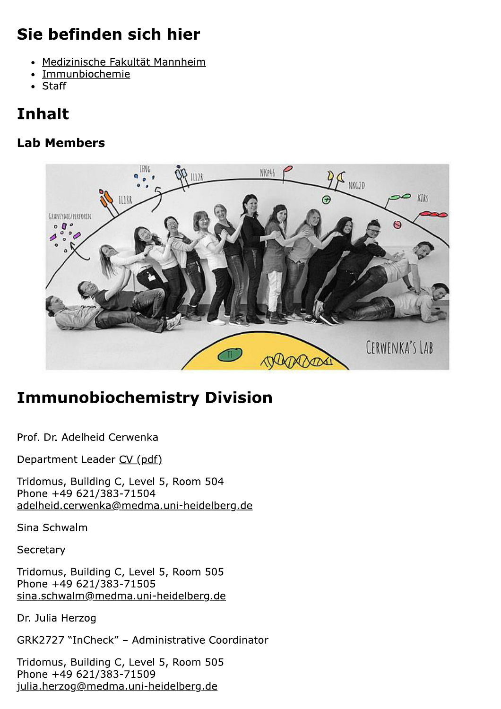# Sie befinden sich hier

- Medizinische Fakultät Mannheim
- Immunbiochemie
- $\bullet$  Staff

# **Inhalt**

#### **Lab Members**



# **Immunobiochemistry Division**

Prof. Dr. Adelheid Cerwenka

Department Leader CV (pdf)

Tridomus, Building C, Level 5, Room 504 Phone +49 621/383-71504 adelheid.cerwenka@medma.uni-heidelberg.de

Sina Schwalm

Secretary

Tridomus, Building C, Level 5, Room 505 Phone +49 621/383-71505 sina.schwalm@medma.uni-heidelberg.de

Dr. Julia Herzog

GRK2727 "InCheck" - Administrative Coordinator

Tridomus, Building C, Level 5, Room 505 Phone +49 621/383-71509 julia.herzog@medma.uni-heidelberg.de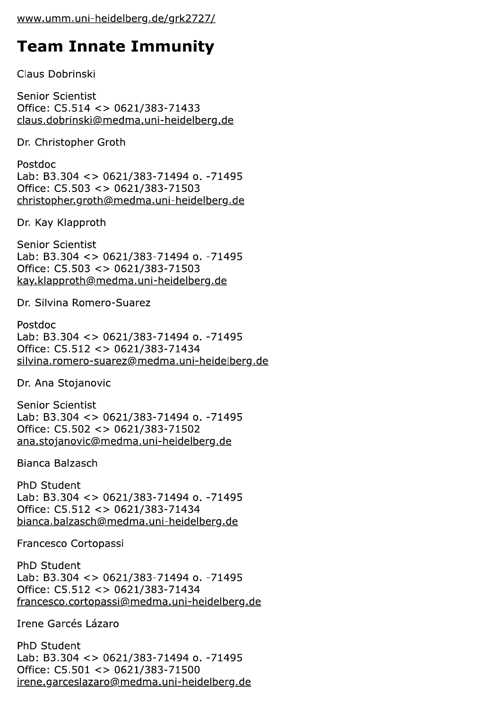### **Team Innate Immunity**

Claus Dobrinski

**Senior Scientist** Office: C5.514 <> 0621/383-71433 claus.dobrinski@medma.uni-heidelberg.de

Dr. Christopher Groth

Postdoc Lab: B3.304 <> 0621/383-71494 o. -71495 Office: C5.503 <> 0621/383-71503 christopher.groth@medma.uni-heidelberg.de

Dr. Kay Klapproth

**Senior Scientist** Lab: B3.304 <> 0621/383-71494 o. -71495 Office: C5.503 <> 0621/383-71503 kay.klapproth@medma.uni-heidelberg.de

Dr. Silvina Romero-Suarez

Postdoc Lab: B3.304 <> 0621/383-71494 o. -71495 Office: C5.512 <> 0621/383-71434 silvina.romero-suarez@medma.uni-heidelberg.de

Dr. Ana Stojanovic

**Senior Scientist** Lab: B3.304 <> 0621/383-71494 o. -71495 Office: C5.502 <> 0621/383-71502 ana.stojanovic@medma.uni-heidelberg.de

Bianca Balzasch

PhD Student Lab: B3.304 <> 0621/383-71494 o. -71495 Office: C5.512 <> 0621/383-71434 bianca.balzasch@medma.uni-heidelberg.de

Francesco Cortopassi

**PhD Student** Lab: B3.304 <> 0621/383-71494 o. -71495 Office: C5.512 <> 0621/383-71434 francesco.cortopassi@medma.uni-heidelberg.de

Irene Garcés Lázaro

**PhD Student** Lab: B3.304 <> 0621/383-71494 o. -71495 Office: C5.501 <> 0621/383-71500 irene.garceslazaro@medma.uni-heidelberg.de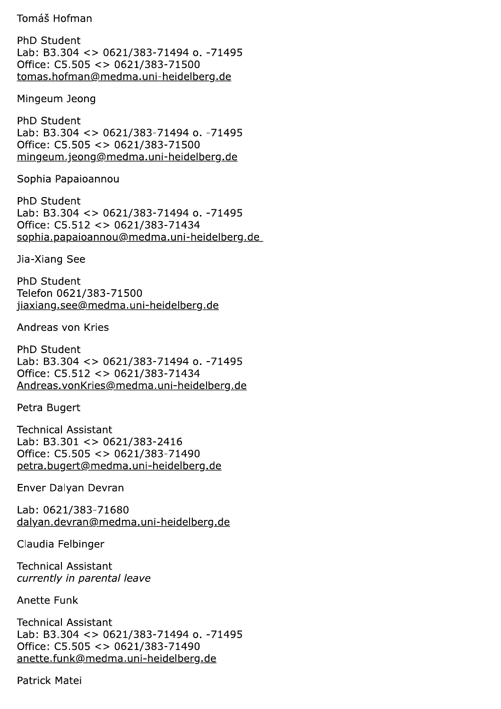#### Tomáš Hofman

PhD Student Lab: B3.304 <> 0621/383-71494 o. -71495 Office: C5.505 <> 0621/383-71500 tomas.hofman@medma.uni-heidelberg.de

Mingeum Jeong

PhD Student Lab: B3.304 <> 0621/383-71494 o. -71495 Office: C5.505 <> 0621/383-71500 mingeum.jeong@medma.uni-heidelberg.de

Sophia Papaioannou

**PhD Student** Lab: B3.304 <> 0621/383-71494 o. -71495 Office: C5.512 <> 0621/383-71434 sophia.papaioannou@medma.uni-heidelberg.de

Jia-Xiang See

PhD Student Telefon 0621/383-71500 jiaxiang.see@medma.uni-heidelberg.de

Andreas von Kries

PhD Student Lab: B3.304 <> 0621/383-71494 o. -71495 Office: C5.512 <> 0621/383-71434 Andreas.vonKries@medma.uni-heidelberg.de

Petra Bugert

**Technical Assistant** Lab: B3.301 < $> 0621/383 - 2416$ Office: C5.505 <> 0621/383-71490 petra.bugert@medma.uni-heidelberg.de

Enver Dalyan Devran

Lab: 0621/383-71680 dalyan.devran@medma.uni-heidelberg.de

Claudia Felbinger

**Technical Assistant** currently in parental leave

Anette Funk

**Technical Assistant** Lab: B3.304 <> 0621/383-71494 o. -71495 Office: C5.505 <> 0621/383-71490 anette.funk@medma.uni-heidelberg.de

Patrick Matei